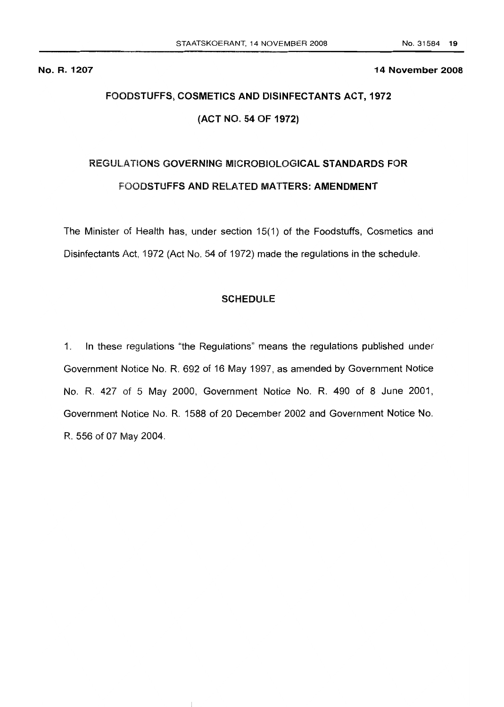No. R. 1207 14 November 2008

# FOODSTUFFS, COSMETICS AND DISINFECTANTS ACT, 1972 (ACT NO. 54 OF 1972)

# REGULATIONS GOVERNING MICROBIOLOGICAL STANDARDS FOR FOODSTUFFS AND RELATED MATTERS: AMENDMENT

The Minister of Health has, under section 15(1) of the Foodstuffs, Cosmetics and Disinfectants Act, 1972 (Act No. 54 of 1972) made the regulations in the schedule.

## **SCHEDULE**

1. In these regulations "the Regulations" means the regulations published under Government Notice No. R. 692 of 16 May 1997, as amended by Government Notice No. R. 427 of 5 May 2000, Government Notice No. R. 490 of 8 June 2001, Government Notice No. R. 1588 of 20 December 2002 and Government Notice No. R. 556 of 07 May 2004.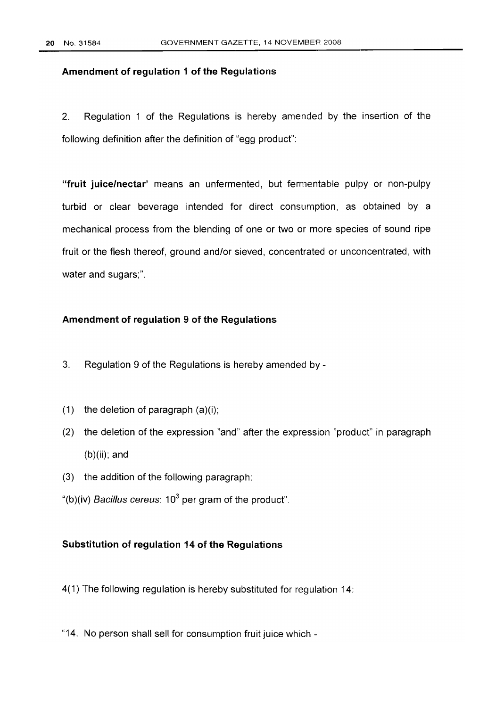## **Amendment of regulation 1 of the Regulations**

2. Regulation 1 of the Regulations is hereby amended by the insertion of the following definition after the definition of "egg product":

**"fruit juice/nectar'** means an unfermented, but fermentable pulpy or non-pulpy turbid or clear beverage intended for direct consumption, as obtained by a mechanical process from the blending of one or two or more species of sound ripe fruit or the flesh thereof, ground and/or sieved, concentrated or unconcentrated, with water and sugars;".

#### **Amendment of regulation 9 of the Regulations**

- 3. Regulation 9 of the Regulations is hereby amended by -
- (1) the deletion of paragraph  $(a)(i)$ ;
- (2) the deletion of the expression "and" after the expression "product" in paragraph (b)(ii); and
- (3) the addition of the following paragraph:

"(b)(iv) Bacillus cereus:  $10^3$  per gram of the product".

#### **Substitution of regulation 14 of the Regulations**

4(1) The following regulation is hereby substituted for regulation 14:

"14. No person shall sell for consumption fruit juice which -